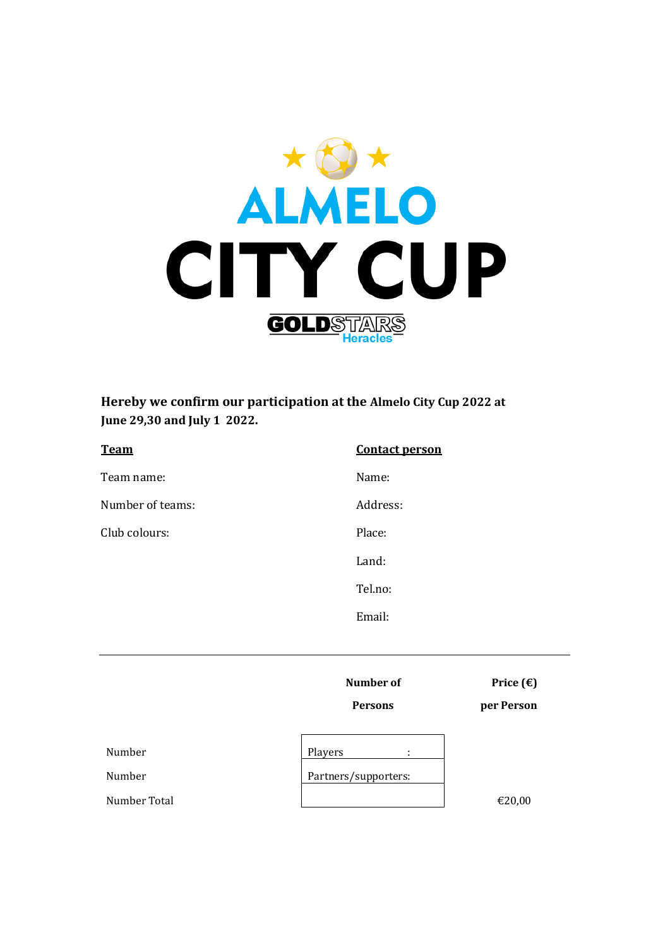

**Hereby we confirm our participation at the Almelo City Cup 2022 at June 29,30 and July 1 2022.**

| <b>Team</b>      | <b>Contact person</b> |
|------------------|-----------------------|
| Team name:       | Name:                 |
| Number of teams: | Address:              |
| Club colours:    | Place:                |
|                  | Land:                 |
|                  | Tel.no:               |
|                  | Email:                |

**Number of Price**  $(\epsilon)$ 

**Persons per Person**

Number Players in the Players of the Players in the Players of the Players of the Players in the Players of the Players in the Players of the Players of the Players of the Players of the Players of the Players of the Playe

Number

Number Total  $\epsilon$ 20,00

| Players              |  |
|----------------------|--|
|                      |  |
| Partners/supporters: |  |